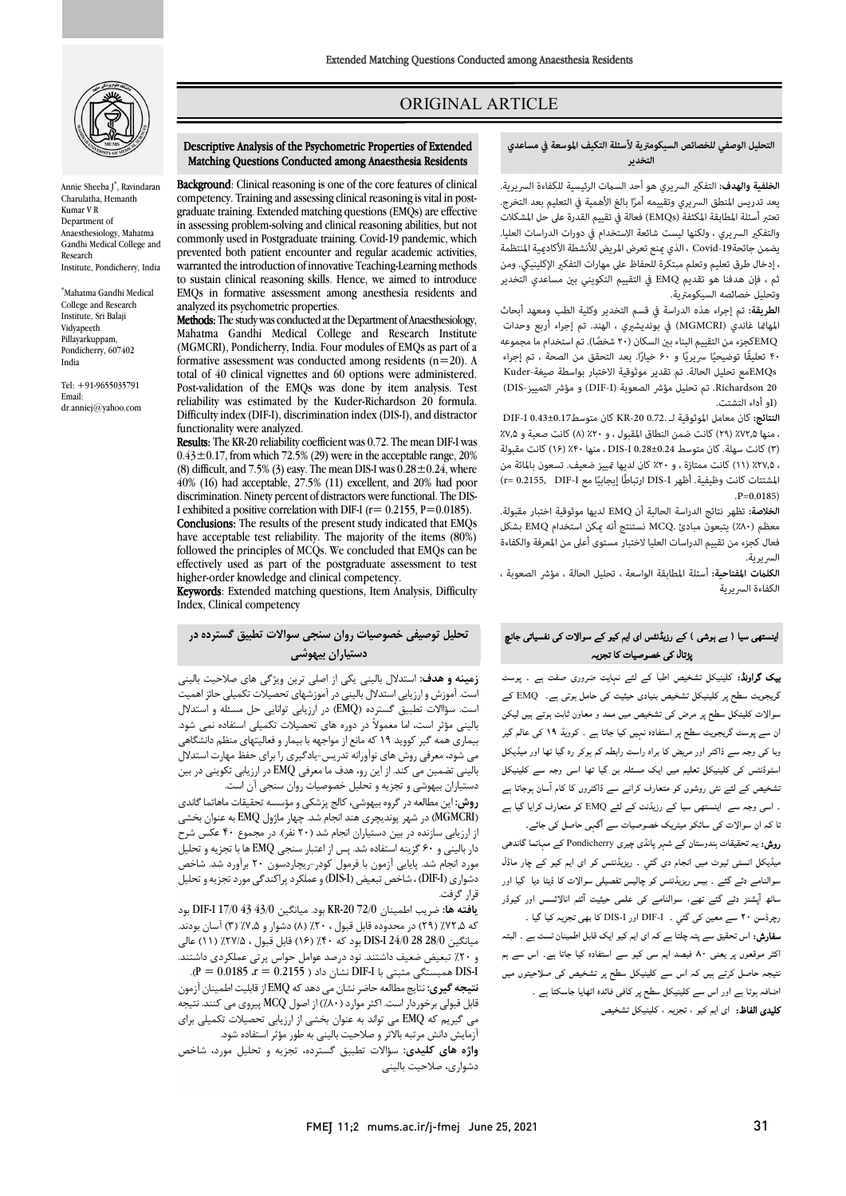

Annie Sheeba J\* , Ravindaran Charulatha, Hemanth Kumar V R Department of Anaesthesiology, Mahatma Gandhi Medical College and Research Institute, Pondicherry, India

\* Mahatma Gandhi Medical College and Research Institute, Sri Balaji Vidyapeeth Pillayarkuppam, Pondicherry, 607402 India

Tel: +91-9655035791 Email: dr.anniej@yahoo.com

# ORIGINAL ARTICLE

Ī

 Descriptive Analysis of the Psychometric Properties of Extended Matching Questions Conducted among Anaesthesia Residents

 competency. Training and assessing clinical reasoning is vital in post- graduate training. Extended matching questions (EMQs) are effective commonly used in Postgraduate training. Covid-19 pandemic, which prevented both patient encounter and regular academic activities, to sustain clinical reasoning skills. Hence, we aimed to introduce EMQs in formative assessment among anesthesia residents and **Methods:** The study was conducted at the Department of Anaesthesiology, Mahatma Gandhi Medical College and Research Institute formative assessment was conducted among residents  $(n=20)$ . A total of 40 clinical vignettes and 60 options were administered. reliability was estimated by the Kuder-Richardson 20 formula. Difficulty index (DIF-I), discrimination index (DIS-I), and distractor Results: The KR-20 reliability coefficient was 0.72. The mean DIF-I was  $0.43 \pm 0.17$ , from which 72.5% (29) were in the acceptable range, 20% 40% (16) had acceptable, 27.5% (11) excellent, and 20% had poor discrimination. Ninety percent of distractors were functional. The DIS-Conclusions: The results of the present study indicated that EMQs have acceptable test reliability. The majority of the items (80%) effectively used as part of the postgraduate assessment to test

in assessing problem-solving and clinical reasoning abilities, but not

warranted the introduction of innovative Teaching-Learning methods

(MGMCRI), Pondicherry, India. Four modules of EMQs as part of a

Post-validation of the EMQs was done by item analysis. Test

(8) difficult, and 7.5% (3) easy. The mean DIS-I was  $0.28 \pm 0.24$ , where

I exhibited a positive correlation with DIF-I ( $r= 0.2155$ ,  $P=0.0185$ ).

followed the principles of MCQs. We concluded that EMQs can be

analyzed its psychometric properties.

functionality were analyzed.

Background: Clinical reasoning is one of the core features of clinical

#### **التحليل الوصفي للخصائص السيكومترية لأسئلةالتكيف الموسعة في مساعدي التخدير**

ص

 **الخلفية والهدف:** التفك السريري هو أحد الست الرئيسية للكفاءة السريرية. تعتبر أسئلةالمطابقةالمكثفة (EMQs (فعالة في تقييم القدرةعلى حل المشكلات والتفكير السريري ، ولكنها ليست شائعة الاستخدام في دورات الدراسات العليا. يضمن جائحةCovid 19 ، الذي منع تعرض المريض للأنشطة الأكاديمية المنتظمة ثم .<br>ثم ، فإن هدفنا هو تقديم EMQ في التقييم التكويني بين مساعدي التخدير وتحليل خصائصه السيكومترية. يعد تدريس المنطق السريري وتقييمه أمرًا بالغ الأهمية في التعليم بعد التخرج. ، إدخال طرق تعليم وتعلم مبتكرة للحفاظ على مهارات التفكير الإكلينيكي. ومن

 **الطريقة:** تم إجراء هذه الدراسة في قسم التخدير وكلية الطب ومعهد أبحاث .<br>EMQكجزء من التقييم البناء بين السكان (۲۰ شخصًا). تم استخدام ما مجموعه ۴۰ تعليقًا توضيحيًا سريريًا و ۶۰ خيارًا. بعد التحقق من الصحة ، تم إجراء EMQsمع تحليل الحالة. تم تقدير موثوقية الاختبار بواسطة صيغة-Kuder 20 Richardson. تم تحليل مؤشر الصعوبة (DIF-I) و مؤشر التمييز-DIS)<br>تلم أداء التفتيت المهاتما غاندي (MGMCRI) في بونديشيري ، الهند. تم إجراء أربع وحدات (Iو أداء التشتت.

 **النتائج:** كان معامل الموثوقية لـ 0.72. -20KR كان متوسط0.43±0.17 I-DIF ، منها ٪۷۲٫۵ (۲۹) كانت ضمن النطاق المقبول ، و ٪۲۰ (۸) كانت صعبة و ٪۷٫۵ ، رسمب سيس كانت ممتازة ، و ۲۰٪ كان لديها تمييز ضعيف. تسعون بالمائة من .<br>، ۲۷٫۵ (۱۱) كانت ممتازة ، و ۲۰٪ كان لديها تمييز ضعيف. تسعون بالمائة من إيجابيا مع I-DIF 0.2155,= r (ً المشتتات كانت وظيفية. أظهر I-DIS ارتباطًا (۳) كانت سهلة. كان متوسط 0.28±0.24 I-DIS ، منها٪۴۰(۱۶) كانت مقبولة  $P=0.0185$ 

 معظم (٪۸۰) يتبعون مبادئ .MCQ نستنتج أنه كن استخدام EMQ بشكل فعال كجزء من تقييم الدراسات العليالاختبار مستوى أعلى من المعرفة والكفاءة  $\overline{a}$ **الخلاصة:** تظهر نتائج الدراسة الحالية أن EMQ لديها موثوقية اختبار مقبولة. السريرية.

 **الكلت المفتاحية:** أسئلة المطابقة الواسعة ، تحليل الحالة ، مؤشر الصعوبة ، الكفاءة السريرية

#### اینستھی سیا ( بے ہوشی ) کے رزیڈنٹس ای ایم کیو کے سوالات کی نفسیاتی جانچ<br>۔ پڑتال کی خصوصیات کا تجزیہ

**یک گراونڈ:** کلینیکل تشخیص اطبا کے لئے نہایت ضروری صفت ہے ۔ پوسٹ<br>۔ ات ض و ون ان ادہ ۔ و ۱۹ ۔<br>وبا کی وجہ سے ڈاکٹر اور مریض کا براہ راست رابطہ کم ہوکر رہ گیا تھا اور میڈیکل اسٹوڈنٹس کی کلینیکل تعلیم میں ایک مسئلہ بن گیا تھا اسی وجہ سے کلینیکل نشخیص کے لئے نئی روشوں کو متعارف کرانے سے ڈاکٹروں کا کام آسان ہوجاتا ہے ۔ اسی وجہ سے اینستھی سیا کے رزیڈنٹ کے لئے EMQ کو متعارف کرایا گیا ہے نا کہ ان سوالات کی سائکو میٹریک خصوصیات سے آگہی حاصل کی جائے۔ ر**وش:** یہ تحقیقات ہندوستان کے شہر پانڈی چیری Pondicherry کے مہاتما گاندھی گریجویٹ سطح پر کلینیکل تشخیص بنیادی حیثیت کی حامل ہوتی ہے۔ EMQ کے

میڈیکل انسٹی ٹیوٹ میں انجام دی گئي ۔ ریزیڈنٹس کو ای ایم کیو کے چار ماڈل<br>۔ سرمندے سے سے بے سے ریزیدس کر پتا ہے مسیحی سوارت کا میتا ہے اور کیوڈر<br>ساٹھ آپشنز دئے گئے تھے، سوالنامے کی علمی حیثیت آئٹم انالائسس اور کیوڈر ر میں مسین کی گئی ۔ I-DIF-I اور I-DIS کا ہمی تجزیہ کیا گیا ۔<br>رچرڈسن ۲۰ سے معین کی گئی ۔ I-DIF-I اور DIS-I کا بھی تجزیہ کیا گیا ۔ سوالنامہ دئہ گئے ۔ بیس ریزیڈنٹس کو چالیس تفصیلی سوالات کا ڈیٹا دیا گیا اور

۔<br>**سفارش:** اس تحقیق سے پتہ چلتا ہے کہ ای ایم کیو ایک قابل اطمینان *ٹسٹ* ہے ۔ البتہ اکثر موقعوں پر یعنی ۸۰ فیصد ایم سی کیو سے استفادہ کیا جاتا ہے۔ اس سے ہم نتیجہ حاصل کرتے ہیں کہ اس سے کلینیکل سطح پر تشخیص کی صلاحیتوں میں اضافہ ہوتا ہے اور اس سے کلینیکل سطح پر کافی فائدہ اٹھایا جاسکتا ہے ۔ **کلیدی الفاظ:** ای ایم کیو ، تجزیہ ، کلینیکل تشخیص

higher-order knowledge and clinical competency. **Keywords**: Extended matching questions, Item Analysis, Difficulty<br>Index. Clinical competency Index, Clinical competency

### **تحلیل توصیفی خصوصیات روان سنجی سوالات تطبیق گسترده در دستیاران بیهوشی**

 **زمینه و هدف:** استدلال بالینی یکی از اصلی ترین ویژگی هاي صلاحیت بالینی است. سؤاالات تطبیق گسترده (EMQ (در ارزیابی توانایی حل مسئله و استدلال بالینی مؤثر است، اما معمولاً در دوره هاي تحصیلات تکمیلی استفاده نمی شود. بیماري همه گیر کووید 19 که مانع از مواجهه با بیمار و فعالیتهاي منظم دانشگاهی بالینی تضمین می کند. از این رو، هدف ما معرفی EMQ در ارزیابی تکوینی در بین دستیاران بیهوشی و تجزیه و تحلیل خصوصیات روان سنجی آن است. است. آموزش و ارزیابی استدلال بالینی در آموزشهاي تحصیلات تکمیلی حائز اهمیت می شود، معرفی روش هاي نوآورانه تدریس-یادگیري را براي حفظ مهارت استدلال

 **روش:** این مطالعه در گروه بیهوشی، کالج پزشکی و مؤسسه تحقیقات ماهاتما گاندي از ارزیابی سازنده در بین دستیاران انجام شد (20 نفر). در مجموع 40 عکس شرح دار بالینی و 60 گزینه استفاده شد. پس از اعتبار سنجی EMQ ها با تجزیه و تحلیل مورد انجام شد. پایایی آزمون با فرمول کودر-ریچاردسون 20 برآورد شد. شاخص دشواری (DIF-I) ، شاخص تبعیض (DIS-I) و عملکرد پراکندگی مورد تجزیه و تحلیل<br>قطعهٔ فرقیه (MGMCRI (در شهر پوندیچري هند انجام شد. چهار ماژول EMQ به عنوان بخشی قرار گرفت.

 **یافته ها:** ضریب اطمینان 72/0 -20KR بود. میانگین 43/0 43 17/0 I-DIF بود که ۵٫۷۲٪ (۲۹) در محدوده قابل قبول ، ۲۰٪ (۸) دشوار و ۷٫۵٪ (۳) آسان بودند. میسیاسی سرت سال ۲۰۰۰ تا سال ۱۳۰۰ تا ۱۳۰۰ تا سال ۱۳۰۰ تا سال ۲۰۰۰ تا سال ۱۳۰۰ تا سیم<br>و ۲۰٪ تبعیض ضعیف داشتند. نود درصد عوامل حواس پر تی عملکردی داشتند. .(P = 0.0185 ،r = 0.2155 ) داد نشان DIF-I با مثبتی همبستگی DIS-I میانگین 28/0 28 24/0 I-DIS بود که ٪40 (16) قابل قبول ، ٪27/5 (11) عالی

 **نتیجه گیري:** نتایج مطالعه حاضر نشان می دهد که EMQ از قابلیت اطمینان آزمون میں تبوی پر توردر است. مر موارد از ۱٬۱۰۰٬۰۰۰٬۰۰۰٬ دستری کامپروی می منتد میبابد<br>می گیریم که EMQ می تواند به عنوان بخشی از ارزیابی تحصیلات تکمیلی برای آزمایش دانش مرتبه بالاتر و صلاحیت بالینی به طور مؤثر استفاده شود. قابل قبولی برخوردار است. اکثر موارد (٪80) از اصول MCQ پیروي می کنند. نتیجه

 **واژه هاي کلیدي:** سؤالات تطبیق گسترده، تجزیه و تحلیل مورد، شاخص دشواري، صلاحیت بالینی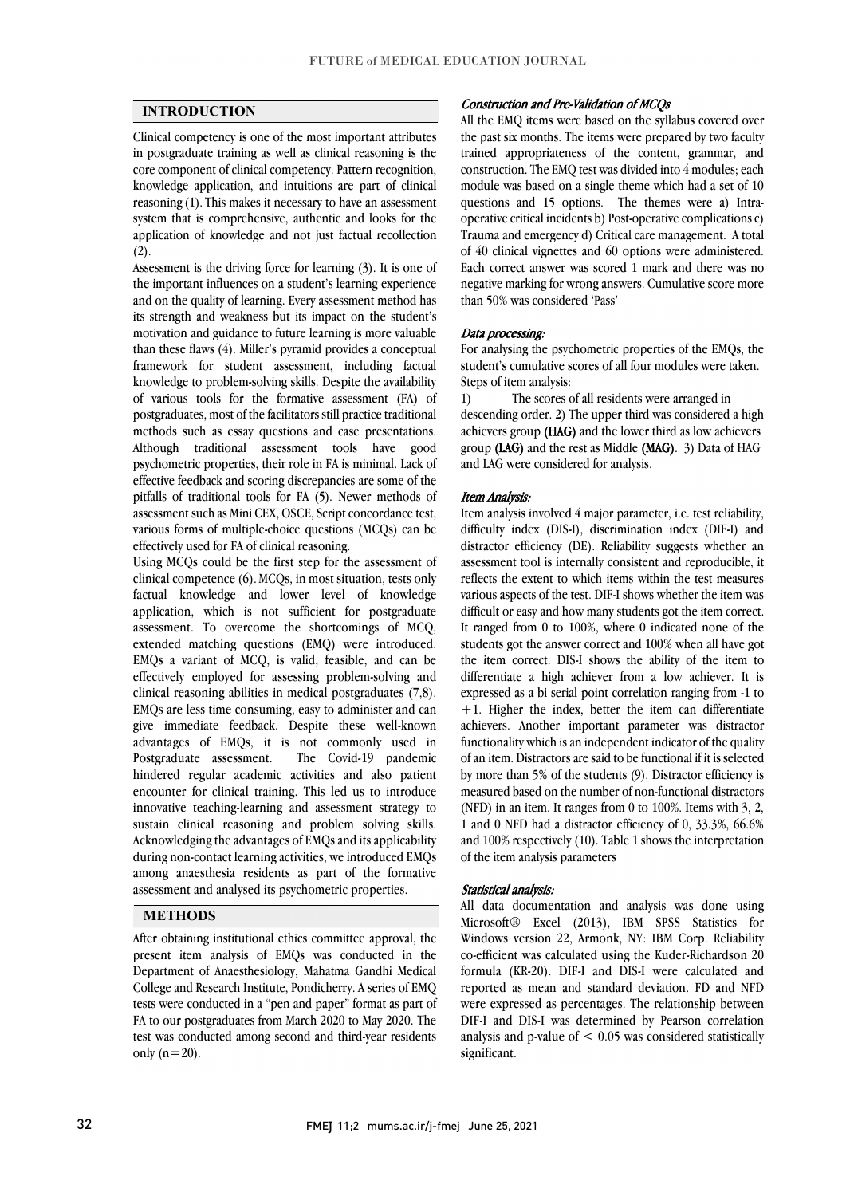## **INTRODUCTION**

 Clinical competency is one of the most important attributes in postgraduate training as well as clinical reasoning is the core component of clinical competency. Pattern recognition, knowledge application, and intuitions are part of clinical system that is comprehensive, authentic and looks for the application of knowledge and not just factual recollection reasoning (1). This makes it necessary to have an assessment  $(2)$ .

 Assessment is the driving force for learning (3). It is one of and on the quality of learning. Every assessment method has its strength and weakness but its impact on the student's motivation and guidance to future learning is more valuable than these flaws (4). Miller's pyramid provides a conceptual knowledge to problem-solving skills. Despite the availability of various tools for the formative assessment (FA) of postgraduates, most of the facilitators still practice traditional methods such as essay questions and case presentations. psychometric properties, their role in FA is minimal. Lack of effective feedback and scoring discrepancies are some of the pitfalls of traditional tools for FA (5). Newer methods of assessment such as Mini CEX, OSCE, Script concordance test, the important influences on a student's learning experience framework for student assessment, including factual Although traditional assessment tools have good various forms of multiple-choice questions (MCQs) can be effectively used for FA of clinical reasoning.

 Using MCQs could be the first step for the assessment of clinical competence (6).MCQs, in most situation, tests only application, which is not sufficient for postgraduate assessment. To overcome the shortcomings of MCQ, extended matching questions (EMQ) were introduced. EMQs a variant of MCQ, is valid, feasible, and can be clinical reasoning abilities in medical postgraduates (7,8). EMQs are less time consuming, easy to administer and can give immediate feedback. Despite these well-known advantages of EMQs, it is not commonly used in Postgraduate assessment. The Covid-19 pandemic encounter for clinical training. This led us to introduce innovative teaching-learning and assessment strategy to sustain clinical reasoning and problem solving skills. during non-contact learning activities, we introduced EMQs among anaesthesia residents as part of the formative factual knowledge and lower level of knowledge effectively employed for assessing problem-solving and hindered regular academic activities and also patient Acknowledging the advantages of EMQs and its applicability assessment and analysed its psychometric properties.

## **METHODS**

 After obtaining institutional ethics committee approval, the present item analysis of EMQs was conducted in the Department of Anaesthesiology, Mahatma Gandhi Medical College and Research Institute, Pondicherry. A series of EMQ FA to our postgraduates from March 2020 to May 2020. The test was conducted among second and third-year residents tests were conducted in a "pen and paper" format as part of only  $(n=20)$ .

### Construction and Pre-Validation of MCQs

 All the EMQ items were based on the syllabus covered over the past six months. The items were prepared by two faculty trained appropriateness of the content, grammar, and construction. The EMQ test was divided into 4 modules; each questions and 15 options. The themes were a) Intra- Trauma and emergency d) Critical care management. A total of 40 clinical vignettes and 60 options were administered. Each correct answer was scored 1 mark and there was no negative marking for wrong answers. Cumulative score more module was based on a single theme which had a set of 10 operative critical incidents b) Post-operative complications c) than 50% was considered 'Pass'

### Data processing:

 For analysing the psychometric properties of the EMQs, the student's cumulative scores of all four modules were taken. Steps of item analysis:

 descending order. 2) The upper third was considered a high achievers group (HAG) and the lower third as low achievers group (LAG) and the rest as Middle (MAG). 3) Data of HAG 1) The scores of all residents were arranged in and LAG were considered for analysis.

#### Item Analysis:

 Item analysis involved 4 major parameter, i.e. test reliability, distractor efficiency (DE). Reliability suggests whether an assessment tool is internally consistent and reproducible, it reflects the extent to which items within the test measures various aspects of the test. DIF-I shows whether the item was difficult or easy and how many students got the item correct. students got the answer correct and 100% when all have got the item correct. DIS-I shows the ability of the item to differentiate a high achiever from a low achiever. It is  $+1$ . Higher the index, better the item can differentiate achievers. Another important parameter was distractor functionality which is an independent indicator of the quality of an item. Distractors are said to be functional if it is selected by more than 3% of the statems (3). Bistactor emerging is<br>measured based on the number of non-functional distractors (NFD) in an item. It ranges from 0 to 100%. Items with 3, 2, 1 and 0 NFD had a distractor efficiency of 0, 33.3%, 66.6% and 100% respectively (10). Table 1 shows the interpretation difficulty index (DIS-I), discrimination index (DIF-I) and It ranged from 0 to 100%, where 0 indicated none of the expressed as a bi serial point correlation ranging from -1 to by more than 5% of the students (9). Distractor efficiency is of the item analysis parameters

#### Statistical analysis:

 All data documentation and analysis was done using Microsoft® Excel (2013), IBM SPSS Statistics for co-efficient was calculated using the Kuder-Richardson 20 formula (KR-20). DIF-I and DIS-I were calculated and reported as mean and standard deviation. FD and NFD were expressed as percentages. The relationship between analysis and p-value of  $< 0.05$  was considered statistically Ĩ Windows version 22, Armonk, NY: IBM Corp. Reliability DIF-I and DIS-I was determined by Pearson correlation significant.

ֺׅׅ֝֬֝֬֝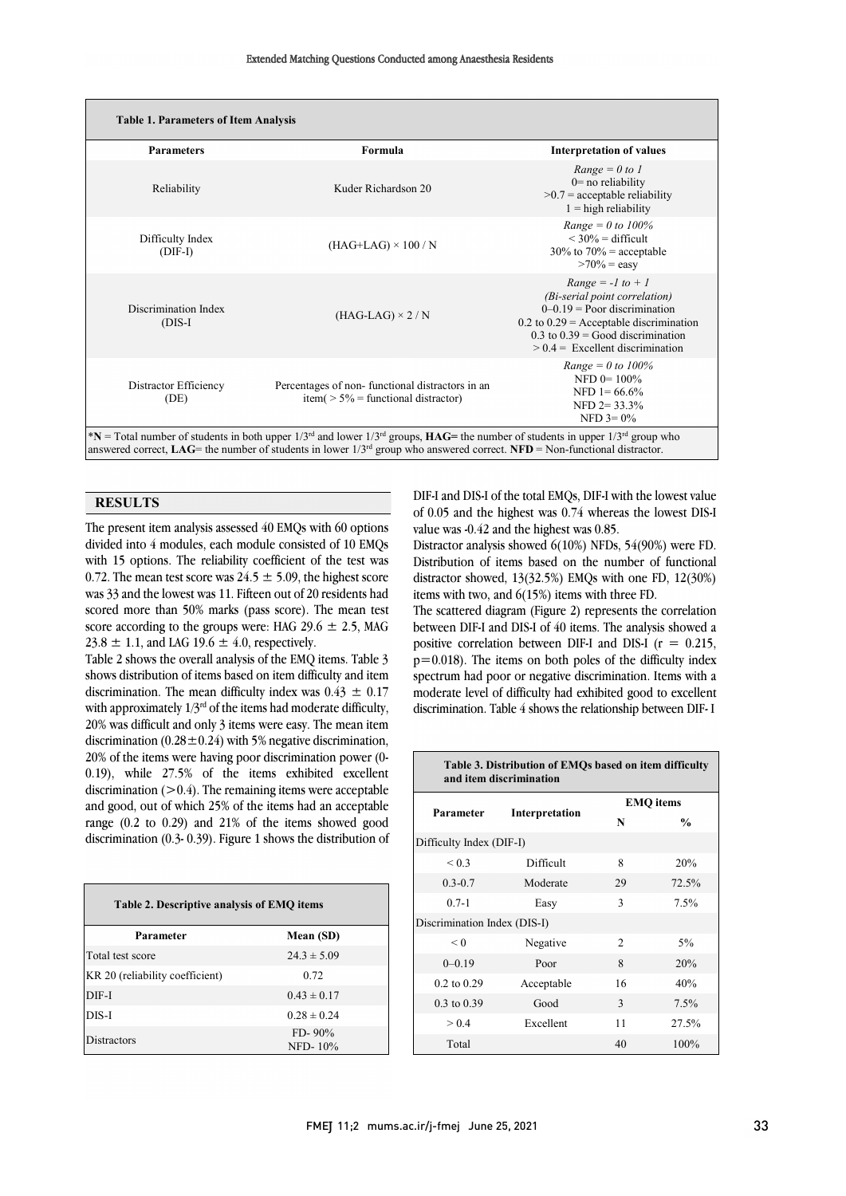| <b>Parameters</b>                 | Formula                                                                                   | <b>Interpretation of values</b>                                                                                                                                                                                       |  |
|-----------------------------------|-------------------------------------------------------------------------------------------|-----------------------------------------------------------------------------------------------------------------------------------------------------------------------------------------------------------------------|--|
| Reliability                       | Kuder Richardson 20                                                                       | $Range = 0 to 1$<br>$0$ = no reliability<br>$>0.7$ = acceptable reliability<br>$1 =$ high reliability                                                                                                                 |  |
| Difficulty Index<br>$(DIF-I)$     | $(HAG+LAG) \times 100 / N$                                                                | <i>Range</i> = 0 to 100%<br>$\leq$ 30% = difficult<br>$30\%$ to $70\%$ = acceptable<br>$>70\%$ = easy                                                                                                                 |  |
| Discrimination Index<br>$(DIS-I)$ | $(HAG-LAG) \times 2/N$                                                                    | $Range = -1$ to $+1$<br>(Bi-serial point correlation)<br>$0-0.19$ = Poor discrimination<br>$0.2$ to $0.29$ = Acceptable discrimination<br>$0.3$ to $0.39$ = Good discrimination<br>$> 0.4$ = Excellent discrimination |  |
| Distractor Efficiency<br>(DE)     | Percentages of non-functional distractors in an<br>item( $> 5\%$ = functional distractor) | <i>Range</i> = 0 to $100\%$<br>NFD $0 = 100\%$<br>NFD $1 = 66.6\%$<br>NFD $2 = 33.3\%$<br>NFD $3 = 0\%$                                                                                                               |  |

### **RESULTS**

 The present item analysis assessed 40 EMQs with 60 options divided into 4 modules, each module consisted of 10 EMQs with 15 options. The reliability coefficient of the test was 0.72. The mean test score was  $24.5 \pm 5.09$ , the highest score was 33 and the fowest was 11. There is out of 25 residents had<br>scored more than 50% marks (pass score). The mean test score according to the groups were: HAG  $29.6 \pm 2.5$ , MAG was 33 and the lowest was 11. Fifteen out of 20 residents had 23.8  $\pm$  1.1, and LAG 19.6  $\pm$  4.0, respectively.

 Table 2 shows the overall analysis of the EMQ items. Table 3 discrimination. The mean difficulty index was  $0.43 \pm 0.17$ with approximately  $1/3^{rd}$  of the items had moderate difficulty, 20% was difficult and only 3 items were easy. The mean item discrimination  $(0.28 \pm 0.24)$  with 5% negative discrimination, 0.19), while 27.5% of the items exhibited excellent discrimination (>0.4). The remaining items were acceptable and good, out of which 25% of the items had an acceptable range (0.2 to 0.29) and 21% of the items showed good discrimination (0.3- 0.39). Figure 1 shows the distribution of shows distribution of items based on item difficulty and item 20% of the items were having poor discrimination power (0-

| Table 2. Descriptive analysis of EMQ items |                        |  |  |  |  |
|--------------------------------------------|------------------------|--|--|--|--|
| Parameter                                  | Mean (SD)              |  |  |  |  |
| Total test score                           | $24.3 \pm 5.09$        |  |  |  |  |
| KR 20 (reliability coefficient)            | 0.72                   |  |  |  |  |
| DIF-I                                      | $0.43 \pm 0.17$        |  |  |  |  |
| DIS-I                                      | $0.28 \pm 0.24$        |  |  |  |  |
| <b>Distractors</b>                         | $FD - 90\%$<br>NFD-10% |  |  |  |  |

 DIF-I and DIS-I of the total EMQs, DIF-I with the lowest value of 0.05 and the highest was 0.74 whereas the lowest DIS-I value was -0.42 and the highest was 0.85.

 $\overline{a}$ 

 Distractor analysis showed 6(10%) NFDs, 54(90%) were FD. Distribution of items based on the number of functional distractor showed, 13(32.5%) EMQs with one FD, 12(30%) items with two, and 6(15%) items with three FD.

The scattered diagram (Figure 2) represents the correlation between DIF-I and DIS-I of 40 items. The analysis showed a positive correlation between DIF-I and DIS-I  $(r = 0.215,$  p=0.018). The items on both poles of the difficulty index moderate level of difficulty had exhibited good to excellent discrimination. Table 4 shows the relationship between DIF- I spectrum had poor or negative discrimination. Items with a

| Table 3. Distribution of EMQs based on item difficulty<br>and item discrimination |                |                             |               |  |  |  |  |
|-----------------------------------------------------------------------------------|----------------|-----------------------------|---------------|--|--|--|--|
| Parameter                                                                         |                | <b>EMQ</b> items            |               |  |  |  |  |
|                                                                                   | Interpretation | N                           | $\frac{0}{0}$ |  |  |  |  |
| Difficulty Index (DIF-I)                                                          |                |                             |               |  |  |  |  |
| ${}_{0.3}$                                                                        | Difficult      | 8                           | 20%           |  |  |  |  |
| $0.3 - 0.7$                                                                       | Moderate       | 29                          | 72.5%         |  |  |  |  |
| $0.7 - 1$                                                                         | Easy           | 3                           | 7.5%          |  |  |  |  |
| Discrimination Index (DIS-I)                                                      |                |                             |               |  |  |  |  |
| < 0                                                                               | Negative       | $\mathcal{D}_{\mathcal{L}}$ | 5%            |  |  |  |  |
| $0 - 0.19$                                                                        | Poor           | 8                           | 20%           |  |  |  |  |
| $0.2$ to $0.29$                                                                   | Acceptable     | 16                          | 40%           |  |  |  |  |
| $0.3$ to $0.39$                                                                   | Good           | 3                           | 7.5%          |  |  |  |  |
| > 0.4                                                                             | Excellent      | 11                          | 27.5%         |  |  |  |  |
| Total                                                                             |                | 40                          | 100%          |  |  |  |  |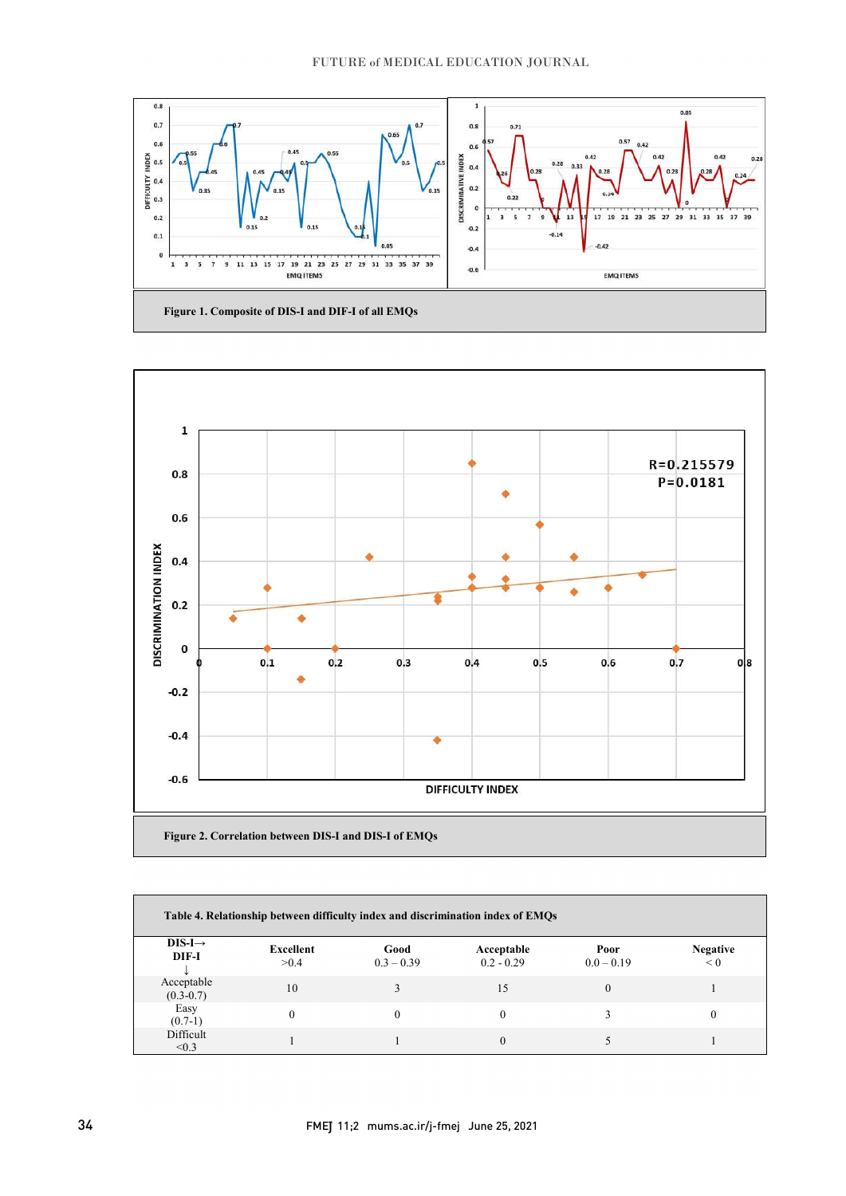

֡֡֡֡֡֡

 $\overline{a}$ 



| Table 4. Relationship between difficulty index and discrimination index of EMQs |                   |                      |                            |                      |                        |  |
|---------------------------------------------------------------------------------|-------------------|----------------------|----------------------------|----------------------|------------------------|--|
| $DIS-I \rightarrow$<br>DIF-I                                                    | Excellent<br>>0.4 | Good<br>$0.3 - 0.39$ | Acceptable<br>$0.2 - 0.29$ | Poor<br>$0.0 - 0.19$ | <b>Negative</b><br>< 0 |  |
| Acceptable<br>$(0.3-0.7)$                                                       | 10                |                      | 15                         | $^{(1)}$             |                        |  |
| Easy<br>$(0.7-1)$                                                               | 0                 |                      |                            |                      |                        |  |
| Difficult<br>< 0.3                                                              |                   |                      |                            |                      |                        |  |

l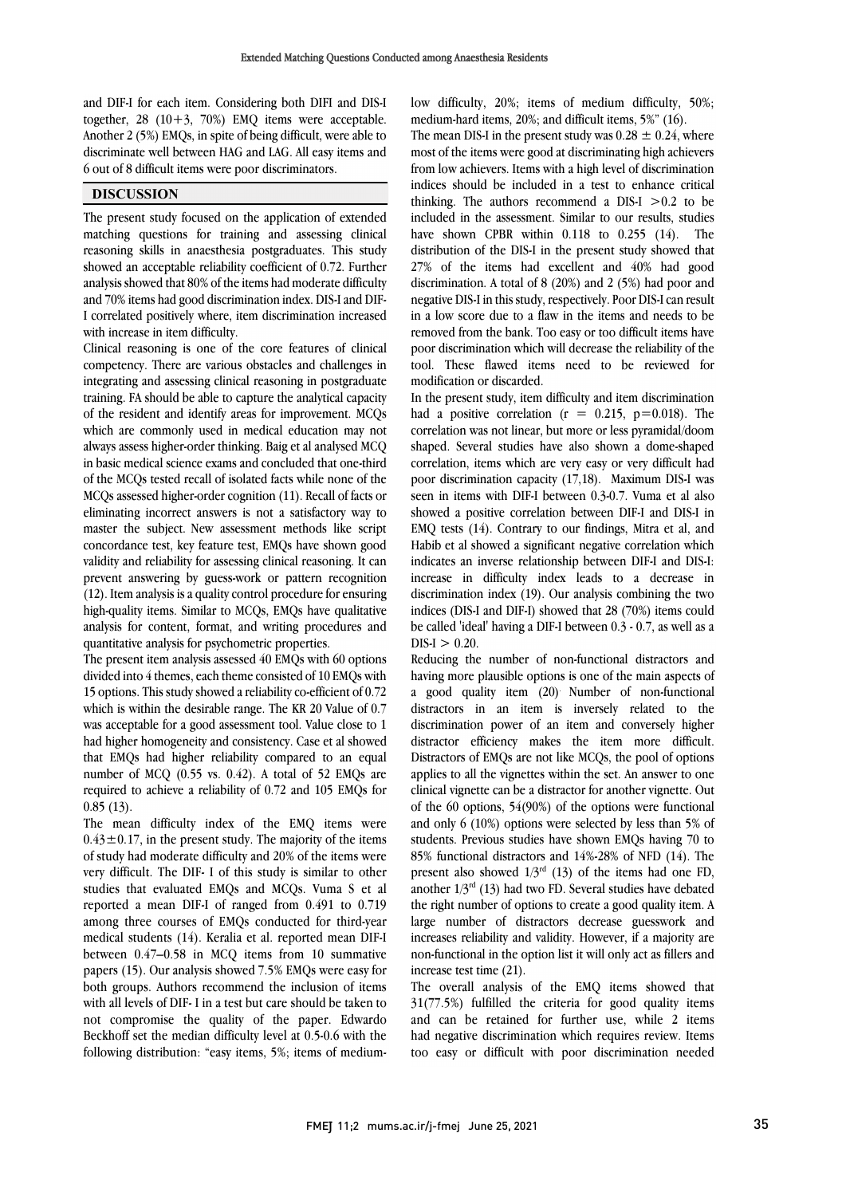and DIF-I for each item. Considering both DIFI and DIS-I together,  $28(10+3, 70%)$  EMO items were acceptable. Another 2 (5%) EMQs, in spite of being difficult, were able to discriminate well between HAG and LAG. All easy items and 6 out of 8 difficult items were poor discriminators.

### **DISCUSSION**

The present study focused on the application of extended matching questions for training and assessing clinical reasoning skills in anaesthesia postgraduates. This study showed an acceptable reliability coefficient of 0.72. Further analysis showed that 80% of the items had moderate difficulty and 70% items had good discrimination index. DIS-I and DIF-I correlated positively where, item discrimination increased with increase in item difficulty.

Clinical reasoning is one of the core features of clinical competency. There are various obstacles and challenges in integrating and assessing clinical reasoning in postgraduate training. FA should be able to capture the analytical capacity of the resident and identify areas for improvement. MCQs which are commonly used in medical education may not always assess higher-order thinking. Baig et al analysed MCQ in basic medical science exams and concluded that one-third of the MCQs tested recall of isolated facts while none of the MCQs assessed higher-order cognition (11). Recall of facts or eliminating incorrect answers is not a satisfactory way to master the subject. New assessment methods like script concordance test, key feature test, EMQs have shown good validity and reliability for assessing clinical reasoning. It can prevent answering by guess-work or pattern recognition (12). Item analysis is a quality control procedure for ensuring high-quality items. Similar to MCQs, EMQs have qualitative analysis for content, format, and writing procedures and quantitative analysis for psychometric properties.

The present item analysis assessed 40 EMQs with 60 options divided into 4 themes, each theme consisted of 10 EMQs with 15 options. This study showed a reliability co-efficient of 0.72 which is within the desirable range. The KR 20 Value of 0.7 was acceptable for a good assessment tool. Value close to 1 had higher homogeneity and consistency. Case et al showed that EMQs had higher reliability compared to an equal number of MCQ (0.55 vs. 0.42). A total of 52 EMQs are required to achieve a reliability of 0.72 and 105 EMQs for 0.85 (13).

The mean difficulty index of the EMQ items were  $0.43 \pm 0.17$ , in the present study. The majority of the items of study had moderate difficulty and 20% of the items were very difficult. The DIF- I of this study is similar to other studies that evaluated EMQs and MCQs. Vuma S et al reported a mean DIF-I of ranged from 0.491 to 0.719 among three courses of EMQs conducted for third-year medical students (14). Keralia et al. reported mean DIF-I between 0.47–0.58 in MCQ items from 10 summative papers (15). Our analysis showed 7.5% EMQs were easy for both groups. Authors recommend the inclusion of items with all levels of DIF- I in a test but care should be taken to not compromise the quality of the paper. Edwardo Beckhoff set the median difficulty level at 0.5-0.6 with the following distribution: "easy items, 5%; items of mediumlow difficulty, 20%; items of medium difficulty, 50%; medium-hard items, 20%; and difficult items, 5%" (16).

The mean DIS-I in the present study was  $0.28 \pm 0.24$ , where most of the items were good at discriminating high achievers from low achievers. Items with a high level of discrimination indices should be included in a test to enhance critical thinking. The authors recommend a DIS-I  $>0.2$  to be included in the assessment. Similar to our results, studies have shown CPBR within 0.118 to 0.255 (14). The distribution of the DIS-I in the present study showed that 27% of the items had excellent and 40% had good discrimination. A total of 8 (20%) and 2 (5%) had poor and negative DIS-I in thisstudy, respectively. Poor DIS-I can result in a low score due to a flaw in the items and needs to be removed from the bank. Too easy or too difficult items have poor discrimination which will decrease the reliability of the tool. These flawed items need to be reviewed for modification or discarded.

In the present study, item difficulty and item discrimination had a positive correlation ( $r = 0.215$ ,  $p=0.018$ ). The correlation was not linear, but more or less pyramidal/doom shaped. Several studies have also shown a dome-shaped correlation, items which are very easy or very difficult had poor discrimination capacity (17,18). Maximum DIS-I was seen in items with DIF-I between 0.3-0.7. Vuma et al also showed a positive correlation between DIF-I and DIS-I in EMQ tests (14). Contrary to our findings, Mitra et al, and Habib et al showed a significant negative correlation which indicates an inverse relationship between DIF-I and DIS-I: increase in difficulty index leads to a decrease in discrimination index (19). Our analysis combining the two indices (DIS-I and DIF-I) showed that 28 (70%) items could be called 'ideal' having a DIF-I between 0.3 - 0.7, as well as a  $DIS-I > 0.20$ .

Reducing the number of non-functional distractors and having more plausible options is one of the main aspects of a good quality item (20) . Number of non-functional distractors in an item is inversely related to the discrimination power of an item and conversely higher distractor efficiency makes the item more difficult. Distractors of EMQs are not like MCQs, the pool of options applies to all the vignettes within the set. An answer to one clinical vignette can be a distractor for another vignette. Out of the 60 options, 54(90%) of the options were functional and only 6 (10%) options were selected by less than 5% of students. Previous studies have shown EMQs having 70 to 85% functional distractors and 14%-28% of NFD (14). The present also showed  $1/3^{rd}$  (13) of the items had one FD, another  $1/3^{rd}$  (13) had two FD. Several studies have debated the right number of options to create a good quality item. A large number of distractors decrease guesswork and increases reliability and validity. However, if a majority are non-functional in the option list it will only act as fillers and increase test time (21).

The overall analysis of the EMQ items showed that 31(77.5%) fulfilled the criteria for good quality items and can be retained for further use, while 2 items had negative discrimination which requires review. Items too easy or difficult with poor discrimination needed